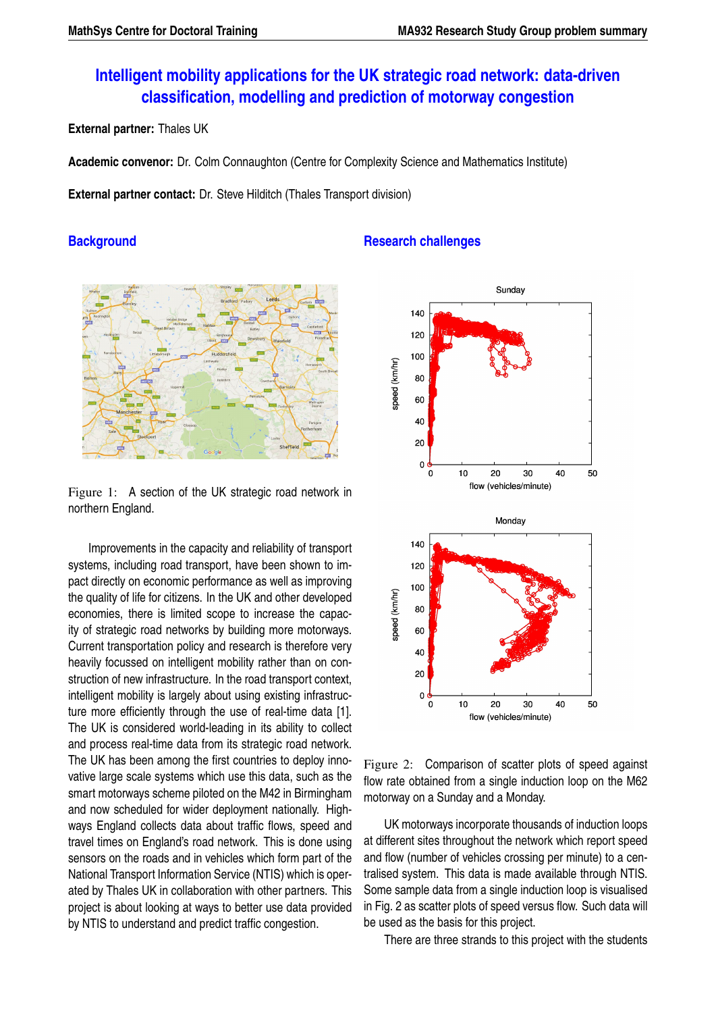# **Intelligent mobility applications for the UK strategic road network: data-driven classification, modelling and prediction of motorway congestion**

**External partner:** Thales UK

**Academic convenor:** Dr. Colm Connaughton (Centre for Complexity Science and Mathematics Institute)

**External partner contact:** Dr. Steve Hilditch (Thales Transport division)

## **Background**



Figure 1: A section of the UK strategic road network in northern England.

Improvements in the capacity and reliability of transport systems, including road transport, have been shown to impact directly on economic performance as well as improving the quality of life for citizens. In the UK and other developed economies, there is limited scope to increase the capacity of strategic road networks by building more motorways. Current transportation policy and research is therefore very heavily focussed on intelligent mobility rather than on construction of new infrastructure. In the road transport context, intelligent mobility is largely about using existing infrastructure more efficiently through the use of real-time data [1]. The UK is considered world-leading in its ability to collect and process real-time data from its strategic road network. The UK has been among the first countries to deploy innovative large scale systems which use this data, such as the smart motorways scheme piloted on the M42 in Birmingham and now scheduled for wider deployment nationally. Highways England collects data about traffic flows, speed and travel times on England's road network. This is done using sensors on the roads and in vehicles which form part of the National Transport Information Service (NTIS) which is operated by Thales UK in collaboration with other partners. This project is about looking at ways to better use data provided by NTIS to understand and predict traffic congestion.

## **Research challenges**



Figure 2: Comparison of scatter plots of speed against flow rate obtained from a single induction loop on the M62 motorway on a Sunday and a Monday.

UK motorways incorporate thousands of induction loops at different sites throughout the network which report speed and flow (number of vehicles crossing per minute) to a centralised system. This data is made available through NTIS. Some sample data from a single induction loop is visualised in Fig. 2 as scatter plots of speed versus flow. Such data will be used as the basis for this project.

There are three strands to this project with the students